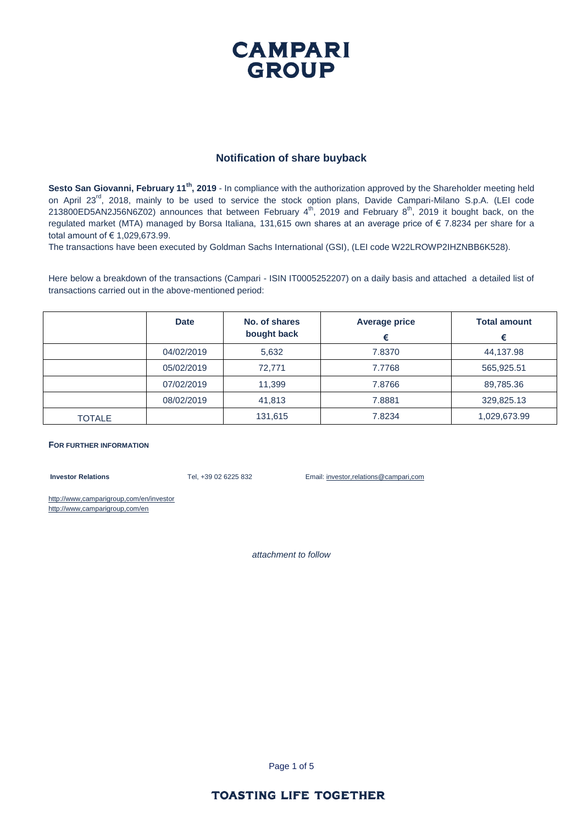### **CAMPARI GROUP**

#### **Notification of share buyback**

**Sesto San Giovanni, February 11th, 2019** - In compliance with the authorization approved by the Shareholder meeting held on April 23<sup>rd</sup>, 2018, mainly to be used to service the stock option plans, Davide Campari-Milano S.p.A. (LEI code 213800ED5AN2J56N6Z02) announces that between February  $4^{\text{th}}$ , 2019 and February  $8^{\text{th}}$ , 2019 it bought back, on the regulated market (MTA) managed by Borsa Italiana, 131,615 own shares at an average price of € 7.8234 per share for a total amount of € 1,029,673.99.

The transactions have been executed by Goldman Sachs International (GSI), (LEI code W22LROWP2IHZNBB6K528).

Here below a breakdown of the transactions (Campari - ISIN IT0005252207) on a daily basis and attached a detailed list of transactions carried out in the above-mentioned period:

|               | <b>Date</b> | No. of shares<br>bought back | <b>Average price</b> | <b>Total amount</b><br>€ |
|---------------|-------------|------------------------------|----------------------|--------------------------|
|               | 04/02/2019  | 5,632                        | 7.8370               | 44,137.98                |
|               | 05/02/2019  | 72.771                       | 7.7768               | 565,925.51               |
|               | 07/02/2019  | 11,399                       | 7.8766               | 89,785.36                |
|               | 08/02/2019  | 41,813                       | 7.8881               | 329,825.13               |
| <b>TOTALE</b> |             | 131,615                      | 7.8234               | 1,029,673.99             |

#### **FOR FURTHER INFORMATION**

**Investor Relations** Tel, +39 02 6225 832 Email: investor,relations@campari,com

http://www,camparigroup,com/en/investor http://www,camparigroup,com/en

*attachment to follow*

Page 1 of 5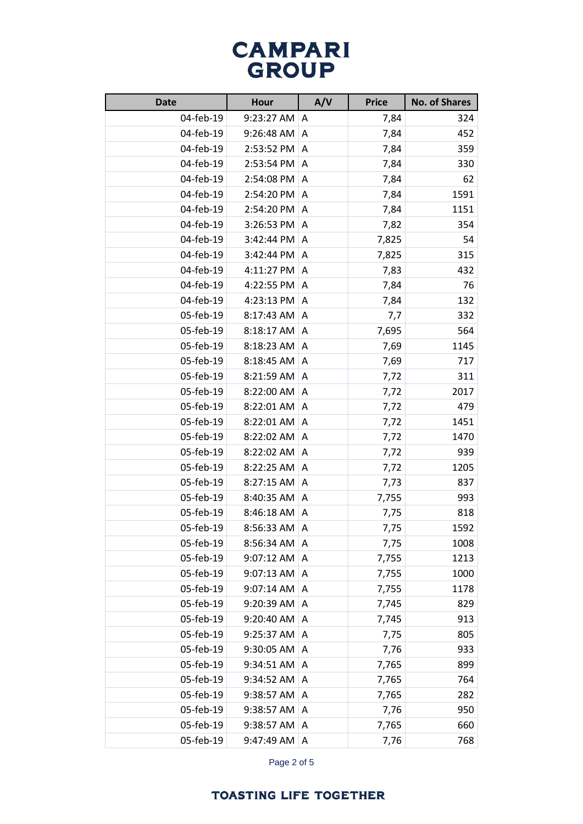| <b>Date</b> | <b>Hour</b> | A/V | <b>Price</b> | <b>No. of Shares</b> |
|-------------|-------------|-----|--------------|----------------------|
| 04-feb-19   | 9:23:27 AM  | A   | 7,84         | 324                  |
| 04-feb-19   | 9:26:48 AM  | A   | 7,84         | 452                  |
| 04-feb-19   | 2:53:52 PM  | A   | 7,84         | 359                  |
| 04-feb-19   | 2:53:54 PM  | A   | 7,84         | 330                  |
| 04-feb-19   | 2:54:08 PM  | Α   | 7,84         | 62                   |
| 04-feb-19   | 2:54:20 PM  | Α   | 7,84         | 1591                 |
| 04-feb-19   | 2:54:20 PM  | A   | 7,84         | 1151                 |
| 04-feb-19   | 3:26:53 PM  | A   | 7,82         | 354                  |
| 04-feb-19   | 3:42:44 PM  | A   | 7,825        | 54                   |
| 04-feb-19   | 3:42:44 PM  | Α   | 7,825        | 315                  |
| 04-feb-19   | 4:11:27 PM  | Α   | 7,83         | 432                  |
| 04-feb-19   | 4:22:55 PM  | Α   | 7,84         | 76                   |
| 04-feb-19   | 4:23:13 PM  | Α   | 7,84         | 132                  |
| 05-feb-19   | 8:17:43 AM  | A   | 7,7          | 332                  |
| 05-feb-19   | 8:18:17 AM  | Α   | 7,695        | 564                  |
| 05-feb-19   | 8:18:23 AM  | Α   | 7,69         | 1145                 |
| 05-feb-19   | 8:18:45 AM  | Α   | 7,69         | 717                  |
| 05-feb-19   | 8:21:59 AM  | Α   | 7,72         | 311                  |
| 05-feb-19   | 8:22:00 AM  | Α   | 7,72         | 2017                 |
| 05-feb-19   | 8:22:01 AM  | A   | 7,72         | 479                  |
| 05-feb-19   | 8:22:01 AM  | A   | 7,72         | 1451                 |
| 05-feb-19   | 8:22:02 AM  | Α   | 7,72         | 1470                 |
| 05-feb-19   | 8:22:02 AM  | Α   | 7,72         | 939                  |
| 05-feb-19   | 8:22:25 AM  | A   | 7,72         | 1205                 |
| 05-feb-19   | 8:27:15 AM  | Α   | 7,73         | 837                  |
| 05-feb-19   | 8:40:35 AM  | A   | 7,755        | 993                  |
| 05-feb-19   | 8:46:18 AM  | Α   | 7,75         | 818                  |
| 05-feb-19   | 8:56:33 AM  | Α   | 7,75         | 1592                 |
| 05-feb-19   | 8:56:34 AM  | A   | 7,75         | 1008                 |
| 05-feb-19   | 9:07:12 AM  | A   | 7,755        | 1213                 |
| 05-feb-19   | 9:07:13 AM  | Α   | 7,755        | 1000                 |
| 05-feb-19   | 9:07:14 AM  | Α   | 7,755        | 1178                 |
| 05-feb-19   | 9:20:39 AM  | Α   | 7,745        | 829                  |
| 05-feb-19   | 9:20:40 AM  | Α   | 7,745        | 913                  |
| 05-feb-19   | 9:25:37 AM  | Α   | 7,75         | 805                  |
| 05-feb-19   | 9:30:05 AM  | Α   | 7,76         | 933                  |
| 05-feb-19   | 9:34:51 AM  | Α   | 7,765        | 899                  |
| 05-feb-19   | 9:34:52 AM  | Α   | 7,765        | 764                  |
| 05-feb-19   | 9:38:57 AM  | Α   | 7,765        | 282                  |
| 05-feb-19   | 9:38:57 AM  | Α   | 7,76         | 950                  |
| 05-feb-19   | 9:38:57 AM  | Α   | 7,765        | 660                  |
| 05-feb-19   | 9:47:49 AM  | Α   | 7,76         | 768                  |

Page 2 of 5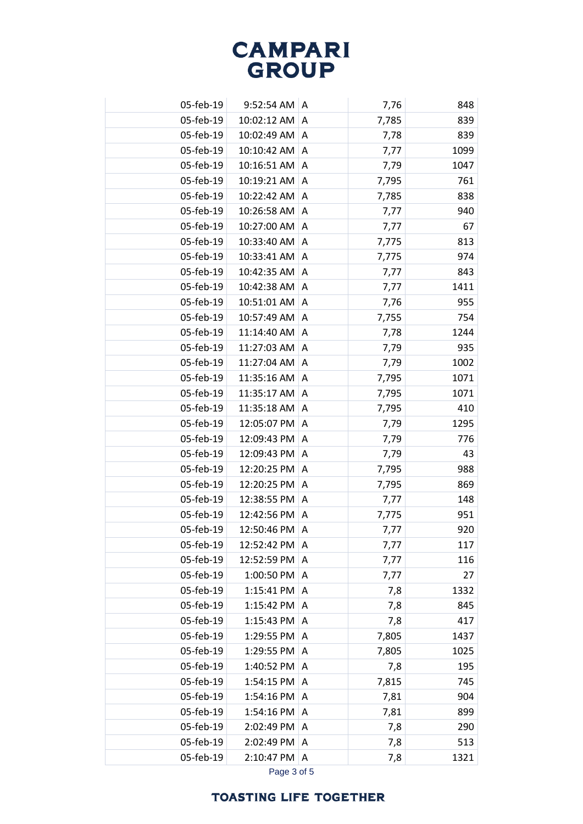| 05-feb-19 | 9:52:54 AM  | A | 7,76  | 848  |
|-----------|-------------|---|-------|------|
| 05-feb-19 | 10:02:12 AM | A | 7,785 | 839  |
| 05-feb-19 | 10:02:49 AM | A | 7,78  | 839  |
| 05-feb-19 | 10:10:42 AM | A | 7,77  | 1099 |
| 05-feb-19 | 10:16:51 AM | Α | 7,79  | 1047 |
| 05-feb-19 | 10:19:21 AM | A | 7,795 | 761  |
| 05-feb-19 | 10:22:42 AM | Α | 7,785 | 838  |
| 05-feb-19 | 10:26:58 AM | Α | 7,77  | 940  |
| 05-feb-19 | 10:27:00 AM | A | 7,77  | 67   |
| 05-feb-19 | 10:33:40 AM | Α | 7,775 | 813  |
| 05-feb-19 | 10:33:41 AM | Α | 7,775 | 974  |
| 05-feb-19 | 10:42:35 AM | Α | 7,77  | 843  |
| 05-feb-19 | 10:42:38 AM | Α | 7,77  | 1411 |
| 05-feb-19 | 10:51:01 AM | Α | 7,76  | 955  |
| 05-feb-19 | 10:57:49 AM | A | 7,755 | 754  |
| 05-feb-19 | 11:14:40 AM | A | 7,78  | 1244 |
| 05-feb-19 | 11:27:03 AM | Α | 7,79  | 935  |
| 05-feb-19 | 11:27:04 AM | A | 7,79  | 1002 |
| 05-feb-19 | 11:35:16 AM | Α | 7,795 | 1071 |
| 05-feb-19 | 11:35:17 AM | A | 7,795 | 1071 |
| 05-feb-19 | 11:35:18 AM | A | 7,795 | 410  |
| 05-feb-19 | 12:05:07 PM | A | 7,79  | 1295 |
| 05-feb-19 | 12:09:43 PM | Α | 7,79  | 776  |
| 05-feb-19 | 12:09:43 PM | Α | 7,79  | 43   |
| 05-feb-19 | 12:20:25 PM | Α | 7,795 | 988  |
| 05-feb-19 | 12:20:25 PM | A | 7,795 | 869  |
| 05-feb-19 | 12:38:55 PM | A | 7,77  | 148  |
| 05-feb-19 | 12:42:56 PM | Α | 7,775 | 951  |
| 05-feb-19 | 12:50:46 PM | Α | 7,77  | 920  |
| 05-feb-19 | 12:52:42 PM | A | 7,77  | 117  |
| 05-feb-19 | 12:52:59 PM | A | 7,77  | 116  |
| 05-feb-19 | 1:00:50 PM  | A | 7,77  | 27   |
| 05-feb-19 | 1:15:41 PM  | A | 7,8   | 1332 |
| 05-feb-19 | 1:15:42 PM  | A | 7,8   | 845  |
| 05-feb-19 | 1:15:43 PM  | Α | 7,8   | 417  |
| 05-feb-19 | 1:29:55 PM  | Α | 7,805 | 1437 |
| 05-feb-19 | 1:29:55 PM  | Α | 7,805 | 1025 |
| 05-feb-19 | 1:40:52 PM  | Α | 7,8   | 195  |
| 05-feb-19 | 1:54:15 PM  | A | 7,815 | 745  |
| 05-feb-19 | 1:54:16 PM  | Α | 7,81  | 904  |
| 05-feb-19 | 1:54:16 PM  | A | 7,81  | 899  |
| 05-feb-19 | 2:02:49 PM  | Α | 7,8   | 290  |
| 05-feb-19 | 2:02:49 PM  | Α | 7,8   | 513  |
| 05-feb-19 | 2:10:47 PM  | A | 7,8   | 1321 |
|           |             |   |       |      |

Page 3 of 5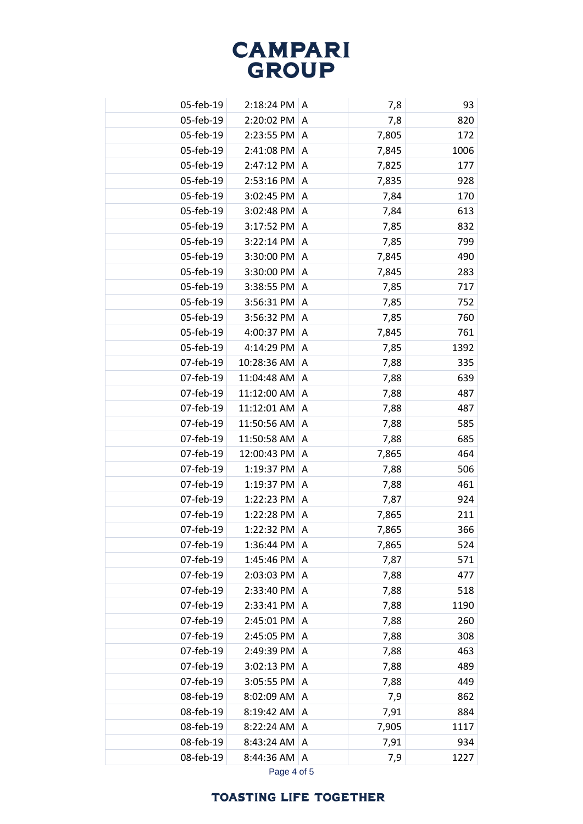| 05-feb-19 | 2:18:24 PM  | A | 7,8   | 93   |
|-----------|-------------|---|-------|------|
| 05-feb-19 | 2:20:02 PM  | A | 7,8   | 820  |
| 05-feb-19 | 2:23:55 PM  | A | 7,805 | 172  |
| 05-feb-19 | 2:41:08 PM  | Α | 7,845 | 1006 |
| 05-feb-19 | 2:47:12 PM  | A | 7,825 | 177  |
| 05-feb-19 | 2:53:16 PM  | Α | 7,835 | 928  |
| 05-feb-19 | 3:02:45 PM  | Α | 7,84  | 170  |
| 05-feb-19 | 3:02:48 PM  | Α | 7,84  | 613  |
| 05-feb-19 | 3:17:52 PM  | Α | 7,85  | 832  |
| 05-feb-19 | 3:22:14 PM  | A | 7,85  | 799  |
| 05-feb-19 | 3:30:00 PM  | A | 7,845 | 490  |
| 05-feb-19 | 3:30:00 PM  | Α | 7,845 | 283  |
| 05-feb-19 | 3:38:55 PM  | Α | 7,85  | 717  |
| 05-feb-19 | 3:56:31 PM  | Α | 7,85  | 752  |
| 05-feb-19 | 3:56:32 PM  | Α | 7,85  | 760  |
| 05-feb-19 | 4:00:37 PM  | Α | 7,845 | 761  |
| 05-feb-19 | 4:14:29 PM  | A | 7,85  | 1392 |
| 07-feb-19 | 10:28:36 AM | Α | 7,88  | 335  |
| 07-feb-19 | 11:04:48 AM | Α | 7,88  | 639  |
| 07-feb-19 | 11:12:00 AM | Α | 7,88  | 487  |
| 07-feb-19 | 11:12:01 AM | Α | 7,88  | 487  |
| 07-feb-19 | 11:50:56 AM | A | 7,88  | 585  |
| 07-feb-19 | 11:50:58 AM | A | 7,88  | 685  |
| 07-feb-19 | 12:00:43 PM | Α | 7,865 | 464  |
| 07-feb-19 | 1:19:37 PM  | Α | 7,88  | 506  |
| 07-feb-19 | 1:19:37 PM  | Α | 7,88  | 461  |
| 07-feb-19 | 1:22:23 PM  | A | 7,87  | 924  |
| 07-feb-19 | 1:22:28 PM  | A | 7,865 | 211  |
| 07-feb-19 | 1:22:32 PM  | A | 7,865 | 366  |
| 07-feb-19 | 1:36:44 PM  | A | 7,865 | 524  |
| 07-feb-19 | 1:45:46 PM  | A | 7,87  | 571  |
| 07-feb-19 | 2:03:03 PM  | A | 7,88  | 477  |
| 07-feb-19 | 2:33:40 PM  | Α | 7,88  | 518  |
| 07-feb-19 | 2:33:41 PM  | Α | 7,88  | 1190 |
| 07-feb-19 | 2:45:01 PM  | A | 7,88  | 260  |
| 07-feb-19 | 2:45:05 PM  | Α | 7,88  | 308  |
| 07-feb-19 | 2:49:39 PM  | Α | 7,88  | 463  |
| 07-feb-19 | 3:02:13 PM  | A | 7,88  | 489  |
| 07-feb-19 | 3:05:55 PM  | Α | 7,88  | 449  |
| 08-feb-19 | 8:02:09 AM  | Α | 7,9   | 862  |
| 08-feb-19 | 8:19:42 AM  | A | 7,91  | 884  |
| 08-feb-19 | 8:22:24 AM  | Α | 7,905 | 1117 |
| 08-feb-19 | 8:43:24 AM  | A | 7,91  | 934  |
| 08-feb-19 | 8:44:36 AM  | A | 7,9   | 1227 |
|           |             |   |       |      |

Page 4 of 5